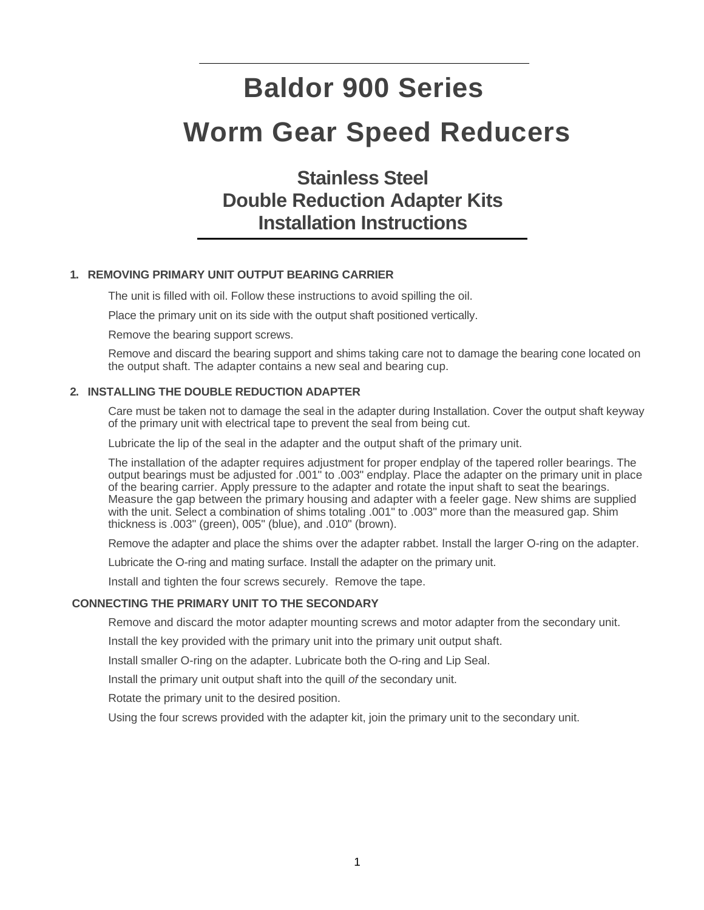# **Baldor 900 Series Worm Gear Speed Reducers**

**Stainless Steel Double Reduction Adapter Kits Installation Instructions** 

# **1. REMOVING PRIMARY UNIT OUTPUT BEARING CARRIER**

The unit is filled with oil. Follow these instructions to avoid spilling the oil.

Place the primary unit on its side with the output shaft positioned vertically.

Remove the bearing support screws.

Remove and discard the bearing support and shims taking care not to damage the bearing cone located on the output shaft. The adapter contains a new seal and bearing cup.

### **2. INSTALLING THE DOUBLE REDUCTION ADAPTER**

Care must be taken not to damage the seal in the adapter during Installation. Cover the output shaft keyway of the primary unit with electrical tape to prevent the seal from being cut.

Lubricate the lip of the seal in the adapter and the output shaft of the primary unit.

The installation of the adapter requires adjustment for proper endplay of the tapered roller bearings. The output bearings must be adjusted for .001" to .003" endplay. Place the adapter on the primary unit in place of the bearing carrier. Apply pressure to the adapter and rotate the input shaft to seat the bearings. Measure the gap between the primary housing and adapter with a feeler gage. New shims are supplied with the unit. Select a combination of shims totaling .001" to .003" more than the measured gap. Shim thickness is .003" (green), 005" (blue), and .010" (brown).

Remove the adapter and place the shims over the adapter rabbet. Install the larger O-ring on the adapter.

Lubricate the O-ring and mating surface. Install the adapter on the primary unit.

Install and tighten the four screws securely. Remove the tape.

#### **CONNECTING THE PRIMARY UNIT TO THE SECONDARY**

Remove and discard the motor adapter mounting screws and motor adapter from the secondary unit.

Install the key provided with the primary unit into the primary unit output shaft.

Install smaller O-ring on the adapter. Lubricate both the O-ring and Lip Seal.

Install the primary unit output shaft into the quill *of* the secondary unit.

Rotate the primary unit to the desired position.

Using the four screws provided with the adapter kit, join the primary unit to the secondary unit.